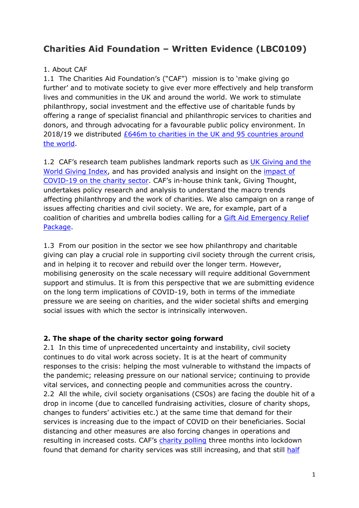# **Charities Aid Foundation – Written Evidence (LBC0109)**

## 1. About CAF

1.1 The Charities Aid Foundation's ("CAF") mission is to 'make giving go further' and to motivate society to give ever more effectively and help transform lives and communities in the UK and around the world. We work to stimulate philanthropy, social investment and the effective use of charitable funds by offering a range of specialist financial and philanthropic services to charities and donors, and through advocating for a favourable public policy environment. In 2018/19 we distributed [£646m](https://www.cafonline.org/about-us/media-office-news/caf-grants-record-646m-to-charities) [to](https://www.cafonline.org/about-us/media-office-news/caf-grants-record-646m-to-charities) [charities](https://www.cafonline.org/about-us/media-office-news/caf-grants-record-646m-to-charities) [in](https://www.cafonline.org/about-us/media-office-news/caf-grants-record-646m-to-charities) [the](https://www.cafonline.org/about-us/media-office-news/caf-grants-record-646m-to-charities) [UK](https://www.cafonline.org/about-us/media-office-news/caf-grants-record-646m-to-charities) [and](https://www.cafonline.org/about-us/media-office-news/caf-grants-record-646m-to-charities) [95](https://www.cafonline.org/about-us/media-office-news/caf-grants-record-646m-to-charities) [countries](https://www.cafonline.org/about-us/media-office-news/caf-grants-record-646m-to-charities) [around](https://www.cafonline.org/about-us/media-office-news/caf-grants-record-646m-to-charities) [the](https://www.cafonline.org/about-us/media-office-news/caf-grants-record-646m-to-charities) [world.](https://www.cafonline.org/about-us/media-office-news/caf-grants-record-646m-to-charities)

1.2 CAF's research team publishes landmark reports such as [UK](https://www.cafonline.org/about-us/research/caf-uk-research-hub) [Giving](https://www.cafonline.org/about-us/research/caf-uk-research-hub) [and](https://www.cafonline.org/about-us/research/caf-uk-research-hub) [the](https://www.cafonline.org/about-us/research/caf-uk-research-hub) [World](https://www.cafonline.org/about-us/research/caf-uk-research-hub) [Giving](https://www.cafonline.org/about-us/research/caf-uk-research-hub) [Index](https://www.cafonline.org/about-us/research/caf-uk-research-hub), and has provided analysis and insight on the [impact](https://www.cafonline.org/docs/default-source/about-us-publications/caf-charity-coronavirus-briefing-june-2020.pdf) [of](https://www.cafonline.org/docs/default-source/about-us-publications/caf-charity-coronavirus-briefing-june-2020.pdf) [COVID-19](https://www.cafonline.org/docs/default-source/about-us-publications/caf-charity-coronavirus-briefing-june-2020.pdf) [on](https://www.cafonline.org/docs/default-source/about-us-publications/caf-charity-coronavirus-briefing-june-2020.pdf) [the](https://www.cafonline.org/docs/default-source/about-us-publications/caf-charity-coronavirus-briefing-june-2020.pdf) [charity](https://www.cafonline.org/docs/default-source/about-us-publications/caf-charity-coronavirus-briefing-june-2020.pdf) [sector](https://www.cafonline.org/docs/default-source/about-us-publications/caf-charity-coronavirus-briefing-june-2020.pdf). CAF's in-house think tank, Giving Thought, undertakes policy research and analysis to understand the macro trends affecting philanthropy and the work of charities. We also campaign on a range of issues affecting charities and civil society. We are, for example, part of a coalition of charities and umbrella bodies calling for a [Gift](https://www.cafonline.org/gift-aid-emergency-relief) [Aid](https://www.cafonline.org/gift-aid-emergency-relief) [Emergency](https://www.cafonline.org/gift-aid-emergency-relief) [Relief](https://www.cafonline.org/gift-aid-emergency-relief) [Package](https://www.cafonline.org/gift-aid-emergency-relief).

1.3 From our position in the sector we see how philanthropy and charitable giving can play a crucial role in supporting civil society through the current crisis, and in helping it to recover and rebuild over the longer term. However, mobilising generosity on the scale necessary will require additional Government support and stimulus. It is from this perspective that we are submitting evidence on the long term implications of COVID-19, both in terms of the immediate pressure we are seeing on charities, and the wider societal shifts and emerging social issues with which the sector is intrinsically interwoven.

# **2. The shape of the charity sector going forward**

2.1 In this time of unprecedented uncertainty and instability, civil society continues to do vital work across society. It is at the heart of community responses to the crisis: helping the most vulnerable to withstand the impacts of the pandemic; releasing pressure on our national service; continuing to provide vital services, and connecting people and communities across the country. 2.2 All the while, civil society organisations (CSOs) are facing the double hit of a drop in income (due to cancelled fundraising activities, closure of charity shops, changes to funders' activities etc.) at the same time that demand for their services is increasing due to the impact of COVID on their beneficiaries. Social distancing and other measures are also forcing changes in operations and resulting in increased costs. CAF's [charity](https://www.cafonline.org/docs/default-source/about-us-publications/caf-charity-coronavirus-briefing-june-2020.pdf) [polling](https://www.cafonline.org/docs/default-source/about-us-publications/caf-charity-coronavirus-briefing-june-2020.pdf) three months into lockdown found that demand for charity services was still increasing, and that still [half](https://www.cafonline.org/docs/default-source/about-us-publications/caf-charity-coronavirus-briefing-june-2020.pdf)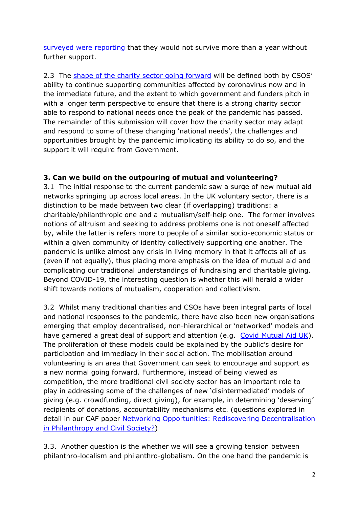[surveyed](https://www.cafonline.org/docs/default-source/about-us-publications/caf-charity-coronavirus-briefing-june-2020.pdf) [were](https://www.cafonline.org/docs/default-source/about-us-publications/caf-charity-coronavirus-briefing-june-2020.pdf) [reporting](https://www.cafonline.org/docs/default-source/about-us-publications/caf-charity-coronavirus-briefing-june-2020.pdf) that they would not survive more than a year without further support.

2.3 The [shape](https://www.cafonline.org/about-us/blog-home/giving-thought/the-future-of-doing-good/philanthropy-and-civil-society-after-covid-19-key-questions-for-the-future) [of](https://www.cafonline.org/about-us/blog-home/giving-thought/the-future-of-doing-good/philanthropy-and-civil-society-after-covid-19-key-questions-for-the-future) [the](https://www.cafonline.org/about-us/blog-home/giving-thought/the-future-of-doing-good/philanthropy-and-civil-society-after-covid-19-key-questions-for-the-future) [charity](https://www.cafonline.org/about-us/blog-home/giving-thought/the-future-of-doing-good/philanthropy-and-civil-society-after-covid-19-key-questions-for-the-future) [sector](https://www.cafonline.org/about-us/blog-home/giving-thought/the-future-of-doing-good/philanthropy-and-civil-society-after-covid-19-key-questions-for-the-future) [going](https://www.cafonline.org/about-us/blog-home/giving-thought/the-future-of-doing-good/philanthropy-and-civil-society-after-covid-19-key-questions-for-the-future) [forward](https://www.cafonline.org/about-us/blog-home/giving-thought/the-future-of-doing-good/philanthropy-and-civil-society-after-covid-19-key-questions-for-the-future) will be defined both by CSOS' ability to continue supporting communities affected by coronavirus now and in the immediate future, and the extent to which government and funders pitch in with a longer term perspective to ensure that there is a strong charity sector able to respond to national needs once the peak of the pandemic has passed. The remainder of this submission will cover how the charity sector may adapt and respond to some of these changing 'national needs', the challenges and opportunities brought by the pandemic implicating its ability to do so, and the support it will require from Government.

## **3. Can we build on the outpouring of mutual and volunteering?**

3.1 The initial response to the current pandemic saw a surge of new mutual aid networks springing up across local areas. In the UK voluntary sector, there is a distinction to be made between two clear (if overlapping) traditions: a charitable/philanthropic one and a mutualism/self-help one. The former involves notions of altruism and seeking to address problems one is not oneself affected by, while the latter is refers more to people of a similar socio-economic status or within a given community of identity collectively supporting one another. The pandemic is unlike almost any crisis in living memory in that it affects all of us (even if not equally), thus placing more emphasis on the idea of mutual aid and complicating our traditional understandings of fundraising and charitable giving. Beyond COVID-19, the interesting question is whether this will herald a wider shift towards notions of mutualism, cooperation and collectivism.

3.2 Whilst many traditional charities and CSOs have been integral parts of local and national responses to the pandemic, there have also been new organisations emerging that employ decentralised, non-hierarchical or 'networked' models and have garnered a great deal of support and attention (e.g. [Covid](https://covidmutualaid.org/) [Mutual](https://covidmutualaid.org/) [Aid](https://covidmutualaid.org/) [UK](https://covidmutualaid.org/)). The proliferation of these models could be explained by the public's desire for participation and immediacy in their social action. The mobilisation around volunteering is an area that Government can seek to encourage and support as a new normal going forward. Furthermore, instead of being viewed as competition, the more traditional civil society sector has an important role to play in addressing some of the challenges of new 'disintermediated' models of giving (e.g. crowdfunding, direct giving), for example, in determining 'deserving' recipients of donations, accountability mechanisms etc. (questions explored in detail in our CAF paper [Networking](https://www.cafonline.org/docs/default-source/about-us-policy-and-campaigns/networking-opportunities--rediscovering-decentralisation-in-philanthropy-and-civil-society-(smaller).pdf) [Opportunities:](https://www.cafonline.org/docs/default-source/about-us-policy-and-campaigns/networking-opportunities--rediscovering-decentralisation-in-philanthropy-and-civil-society-(smaller).pdf) [Rediscovering](https://www.cafonline.org/docs/default-source/about-us-policy-and-campaigns/networking-opportunities--rediscovering-decentralisation-in-philanthropy-and-civil-society-(smaller).pdf) [Decentralisation](https://www.cafonline.org/docs/default-source/about-us-policy-and-campaigns/networking-opportunities--rediscovering-decentralisation-in-philanthropy-and-civil-society-(smaller).pdf) [in](https://www.cafonline.org/docs/default-source/about-us-policy-and-campaigns/networking-opportunities--rediscovering-decentralisation-in-philanthropy-and-civil-society-(smaller).pdf) [Philanthropy](https://www.cafonline.org/docs/default-source/about-us-policy-and-campaigns/networking-opportunities--rediscovering-decentralisation-in-philanthropy-and-civil-society-(smaller).pdf) [and](https://www.cafonline.org/docs/default-source/about-us-policy-and-campaigns/networking-opportunities--rediscovering-decentralisation-in-philanthropy-and-civil-society-(smaller).pdf) [Civil](https://www.cafonline.org/docs/default-source/about-us-policy-and-campaigns/networking-opportunities--rediscovering-decentralisation-in-philanthropy-and-civil-society-(smaller).pdf) [Society?\)](https://www.cafonline.org/docs/default-source/about-us-policy-and-campaigns/networking-opportunities--rediscovering-decentralisation-in-philanthropy-and-civil-society-(smaller).pdf)

3.3. Another question is the whether we will see a growing tension between philanthro-localism and philanthro-globalism. On the one hand the pandemic is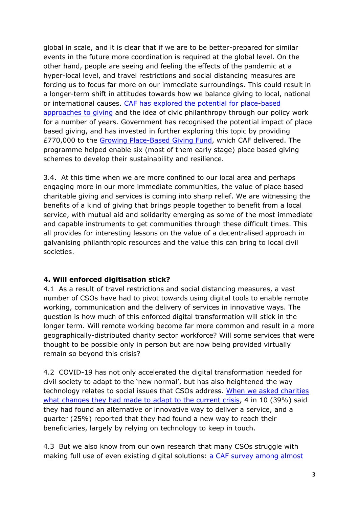global in scale, and it is clear that if we are to be better-prepared for similar events in the future more coordination is required at the global level. On the other hand, people are seeing and feeling the effects of the pandemic at a hyper-local level, and travel restrictions and social distancing measures are forcing us to focus far more on our immediate surroundings. This could result in a longer-term shift in attitudes towards how we balance giving to local, national or international causes. [CAF](https://www.cafonline.org/about-us/caf-campaigns/giving-for-the-uk/place-based-giving) [has](https://www.cafonline.org/about-us/caf-campaigns/giving-for-the-uk/place-based-giving) [explored](https://www.cafonline.org/about-us/caf-campaigns/giving-for-the-uk/place-based-giving) [the](https://www.cafonline.org/about-us/caf-campaigns/giving-for-the-uk/place-based-giving) [potential](https://www.cafonline.org/about-us/caf-campaigns/giving-for-the-uk/place-based-giving) [for](https://www.cafonline.org/about-us/caf-campaigns/giving-for-the-uk/place-based-giving) [place-based](https://www.cafonline.org/about-us/caf-campaigns/giving-for-the-uk/place-based-giving) [approaches](https://www.cafonline.org/about-us/caf-campaigns/giving-for-the-uk/place-based-giving) [to](https://www.cafonline.org/about-us/caf-campaigns/giving-for-the-uk/place-based-giving) [giving](https://www.cafonline.org/about-us/caf-campaigns/giving-for-the-uk/place-based-giving) and the idea of civic philanthropy through our policy work for a number of years. Government has recognised the potential impact of place based giving, and has invested in further exploring this topic by providing £770,000 to the [Growing](https://www.civilsociety.co.uk/voices/rhodri-davies-place-based-giving-how-a-growing-new-fund-could-be-crucial-for-all-charities.html#sthash.VqgEnb2x.dpuf) [Place-Based](https://www.civilsociety.co.uk/voices/rhodri-davies-place-based-giving-how-a-growing-new-fund-could-be-crucial-for-all-charities.html#sthash.VqgEnb2x.dpuf) [Giving](https://www.civilsociety.co.uk/voices/rhodri-davies-place-based-giving-how-a-growing-new-fund-could-be-crucial-for-all-charities.html#sthash.VqgEnb2x.dpuf) [Fund,](https://www.civilsociety.co.uk/voices/rhodri-davies-place-based-giving-how-a-growing-new-fund-could-be-crucial-for-all-charities.html#sthash.VqgEnb2x.dpuf) which CAF delivered. The programme helped enable six (most of them early stage) place based giving schemes to develop their sustainability and resilience.

3.4. At this time when we are more confined to our local area and perhaps engaging more in our more immediate communities, the value of place based charitable giving and services is coming into sharp relief. We are witnessing the benefits of a kind of giving that brings people together to benefit from a local service, with mutual aid and solidarity emerging as some of the most immediate and capable instruments to get communities through these difficult times. This all provides for interesting lessons on the value of a decentralised approach in galvanising philanthropic resources and the value this can bring to local civil societies.

#### **4. Will enforced digitisation stick?**

4.1 As a result of travel restrictions and social distancing measures, a vast number of CSOs have had to pivot towards using digital tools to enable remote working, communication and the delivery of services in innovative ways. The question is how much of this enforced digital transformation will stick in the longer term. Will remote working become far more common and result in a more geographically-distributed charity sector workforce? Will some services that were thought to be possible only in person but are now being provided virtually remain so beyond this crisis?

4.2 COVID-19 has not only accelerated the digital transformation needed for civil society to adapt to the 'new normal', but has also heightened the way technology relates to social issues that CSOs address. [When](https://www.cafonline.org/docs/default-source/about-us-publications/caf-charity-coronavirus-briefing-june-2020.pdf) [we](https://www.cafonline.org/docs/default-source/about-us-publications/caf-charity-coronavirus-briefing-june-2020.pdf) [asked](https://www.cafonline.org/docs/default-source/about-us-publications/caf-charity-coronavirus-briefing-june-2020.pdf) [charities](https://www.cafonline.org/docs/default-source/about-us-publications/caf-charity-coronavirus-briefing-june-2020.pdf) [what](https://www.cafonline.org/docs/default-source/about-us-publications/caf-charity-coronavirus-briefing-june-2020.pdf) [changes](https://www.cafonline.org/docs/default-source/about-us-publications/caf-charity-coronavirus-briefing-june-2020.pdf) [they](https://www.cafonline.org/docs/default-source/about-us-publications/caf-charity-coronavirus-briefing-june-2020.pdf) [had](https://www.cafonline.org/docs/default-source/about-us-publications/caf-charity-coronavirus-briefing-june-2020.pdf) [made](https://www.cafonline.org/docs/default-source/about-us-publications/caf-charity-coronavirus-briefing-june-2020.pdf) [to](https://www.cafonline.org/docs/default-source/about-us-publications/caf-charity-coronavirus-briefing-june-2020.pdf) [adapt](https://www.cafonline.org/docs/default-source/about-us-publications/caf-charity-coronavirus-briefing-june-2020.pdf) [to](https://www.cafonline.org/docs/default-source/about-us-publications/caf-charity-coronavirus-briefing-june-2020.pdf) [the](https://www.cafonline.org/docs/default-source/about-us-publications/caf-charity-coronavirus-briefing-june-2020.pdf) [current](https://www.cafonline.org/docs/default-source/about-us-publications/caf-charity-coronavirus-briefing-june-2020.pdf) [crisis](https://www.cafonline.org/docs/default-source/about-us-publications/caf-charity-coronavirus-briefing-june-2020.pdf), 4 in 10 (39%) said they had found an alternative or innovative way to deliver a service, and a quarter (25%) reported that they had found a new way to reach their beneficiaries, largely by relying on technology to keep in touch.

4.3 But we also know from our own research that many CSOs struggle with making full use of even existing digital solutions: [a](https://www.cafonline.org/docs/default-source/about-us-publications/caf-charity-coronavirus-briefing-june-2020.pdf) [CAF](https://www.cafonline.org/docs/default-source/about-us-publications/caf-charity-coronavirus-briefing-june-2020.pdf) [survey](https://www.cafonline.org/docs/default-source/about-us-publications/caf-charity-coronavirus-briefing-june-2020.pdf) [among](https://www.cafonline.org/docs/default-source/about-us-publications/caf-charity-coronavirus-briefing-june-2020.pdf) [almost](https://www.cafonline.org/docs/default-source/about-us-publications/caf-charity-coronavirus-briefing-june-2020.pdf)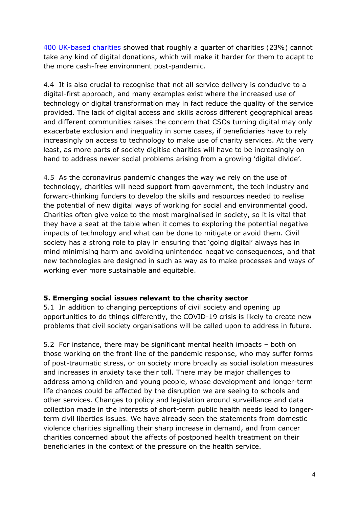[400](https://www.cafonline.org/docs/default-source/about-us-publications/caf-charity-coronavirus-briefing-june-2020.pdf) [UK-based](https://www.cafonline.org/docs/default-source/about-us-publications/caf-charity-coronavirus-briefing-june-2020.pdf) [charities](https://www.cafonline.org/docs/default-source/about-us-publications/caf-charity-coronavirus-briefing-june-2020.pdf) showed that roughly a quarter of charities (23%) cannot take any kind of digital donations, which will make it harder for them to adapt to the more cash-free environment post-pandemic.

4.4 It is also crucial to recognise that not all service delivery is conducive to a digital-first approach, and many examples exist where the increased use of technology or digital transformation may in fact reduce the quality of the service provided. The lack of digital access and skills across different geographical areas and different communities raises the concern that CSOs turning digital may only exacerbate exclusion and inequality in some cases, if beneficiaries have to rely increasingly on access to technology to make use of charity services. At the very least, as more parts of society digitise charities will have to be increasingly on hand to address newer social problems arising from a growing 'digital divide'.

4.5 As the coronavirus pandemic changes the way we rely on the use of technology, charities will need support from government, the tech industry and forward-thinking funders to develop the skills and resources needed to realise the potential of new digital ways of working for social and environmental good. Charities often give voice to the most marginalised in society, so it is vital that they have a seat at the table when it comes to exploring the potential negative impacts of technology and what can be done to mitigate or avoid them. Civil society has a strong role to play in ensuring that 'going digital' always has in mind minimising harm and avoiding unintended negative consequences, and that new technologies are designed in such as way as to make processes and ways of working ever more sustainable and equitable.

#### **5. Emerging social issues relevant to the charity sector**

5.1 In addition to changing perceptions of civil society and opening up opportunities to do things differently, the COVID-19 crisis is likely to create new problems that civil society organisations will be called upon to address in future.

5.2 For instance, there may be significant mental health impacts – both on those working on the front line of the pandemic response, who may suffer forms of post-traumatic stress, or on society more broadly as social isolation measures and increases in anxiety take their toll. There may be major challenges to address among children and young people, whose development and longer-term life chances could be affected by the disruption we are seeing to schools and other services. Changes to policy and legislation around surveillance and data collection made in the interests of short-term public health needs lead to longerterm civil liberties issues. We have already seen the statements from domestic violence charities signalling their sharp increase in demand, and from cancer charities concerned about the affects of postponed health treatment on their beneficiaries in the context of the pressure on the health service.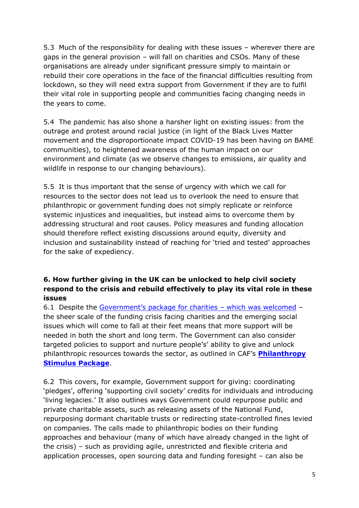5.3 Much of the responsibility for dealing with these issues – wherever there are gaps in the general provision – will fall on charities and CSOs. Many of these organisations are already under significant pressure simply to maintain or rebuild their core operations in the face of the financial difficulties resulting from lockdown, so they will need extra support from Government if they are to fulfil their vital role in supporting people and communities facing changing needs in the years to come.

5.4 The pandemic has also shone a harsher light on existing issues: from the outrage and protest around racial justice (in light of the Black Lives Matter movement and the disproportionate impact COVID-19 has been having on BAME communities), to heightened awareness of the human impact on our environment and climate (as we observe changes to emissions, air quality and wildlife in response to our changing behaviours).

5.5 It is thus important that the sense of urgency with which we call for resources to the sector does not lead us to overlook the need to ensure that philanthropic or government funding does not simply replicate or reinforce systemic injustices and inequalities, but instead aims to overcome them by addressing structural and root causes. Policy measures and funding allocation should therefore reflect existing discussions around equity, diversity and inclusion and sustainability instead of reaching for 'tried and tested' approaches for the sake of expediency.

## **6. How further giving in the UK can be unlocked to help civil society respond to the crisis and rebuild effectively to play its vital role in these issues**

6.1 Despite the [Government's](https://www.gov.uk/government/news/chancellor-sets-out-extra-750-million-coronavirus-funding-for-frontline-charities) [package](https://www.gov.uk/government/news/chancellor-sets-out-extra-750-million-coronavirus-funding-for-frontline-charities) [for](https://www.gov.uk/government/news/chancellor-sets-out-extra-750-million-coronavirus-funding-for-frontline-charities) [charities](https://www.gov.uk/government/news/chancellor-sets-out-extra-750-million-coronavirus-funding-for-frontline-charities) – which was welcomed – the sheer scale of the funding crisis facing charities and the emerging social issues which will come to fall at their feet means that more support will be needed in both the short and long term. The Government can also consider targeted policies to support and nurture people's' ability to give and unlock philanthropic resources towards the sector, as outlined in CAF's **[Philanthropy](https://www.cafonline.org/about-us/publications/2020-publications/a-covid-19-philanthropy-stimulus-package) [Stimulus](https://www.cafonline.org/about-us/publications/2020-publications/a-covid-19-philanthropy-stimulus-package) [Package](https://www.cafonline.org/about-us/publications/2020-publications/a-covid-19-philanthropy-stimulus-package)**.

6.2 This covers, for example, Government support for giving: coordinating 'pledges', offering 'supporting civil society' credits for individuals and introducing 'living legacies.' It also outlines ways Government could repurpose public and private charitable assets, such as releasing assets of the National Fund, repurposing dormant charitable trusts or redirecting state-controlled fines levied on companies. The calls made to philanthropic bodies on their funding approaches and behaviour (many of which have already changed in the light of the crisis) – such as providing agile, unrestricted and flexible criteria and application processes, open sourcing data and funding foresight – can also be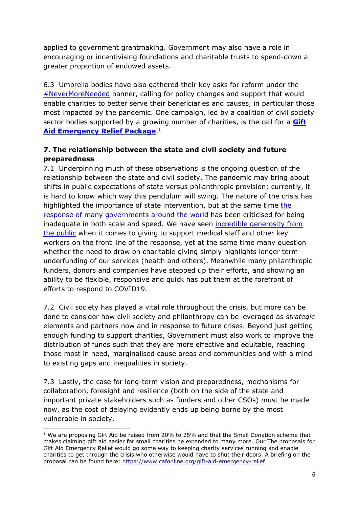applied to government grantmaking. Government may also have a role in encouraging or incentivising foundations and charitable trusts to spend-down a greater proportion of endowed assets.

6.3 Umbrella bodies have also gathered their key asks for reform under the [#NeverMoreNeeded](https://nmn.org.uk/2020/07/22/more-charities-add-voices-to-campaign-to-strengthen-gift-aid-support/) banner, calling for policy changes and support that would enable charities to better serve their beneficiaries and causes, in particular those most impacted by the pandemic. One campaign, led by a coalition of civil society sector bodies supported by a growing number of charities, is the call for a **[Gift](https://www.cafonline.org/about-us/caf-campaigns/giving-for-the-uk/gift-aid-emergency-relief-campaign-social-assets) [Aid](https://www.cafonline.org/about-us/caf-campaigns/giving-for-the-uk/gift-aid-emergency-relief-campaign-social-assets) [Emergency](https://www.cafonline.org/about-us/caf-campaigns/giving-for-the-uk/gift-aid-emergency-relief-campaign-social-assets) [Relief](https://www.cafonline.org/about-us/caf-campaigns/giving-for-the-uk/gift-aid-emergency-relief-campaign-social-assets) [Package](https://www.cafonline.org/about-us/caf-campaigns/giving-for-the-uk/gift-aid-emergency-relief-campaign-social-assets)**. 1

# **7. The relationship between the state and civil society and future preparedness**

7.1 Underpinning much of these observations is the ongoing question of the relationship between the state and civil society. The pandemic may bring about shifts in public expectations of state versus philanthropic provision; currently, it is hard to know which way this pendulum will swing. The nature of the crisis has highlighted the importance of state intervention, but at the same time [the](https://www.bsg.ox.ac.uk/research/research-projects/coronavirus-government-response-tracker) [response](https://www.bsg.ox.ac.uk/research/research-projects/coronavirus-government-response-tracker) [of](https://www.bsg.ox.ac.uk/research/research-projects/coronavirus-government-response-tracker) [many](https://www.bsg.ox.ac.uk/research/research-projects/coronavirus-government-response-tracker) [governments](https://www.bsg.ox.ac.uk/research/research-projects/coronavirus-government-response-tracker) [around](https://www.bsg.ox.ac.uk/research/research-projects/coronavirus-government-response-tracker) [the](https://www.bsg.ox.ac.uk/research/research-projects/coronavirus-government-response-tracker) [world](https://www.bsg.ox.ac.uk/research/research-projects/coronavirus-government-response-tracker) has been criticised for being inadequate in both scale and speed. We have seen [incredible](https://www.civilsociety.co.uk/news/captain-tom-moore-s-fundraiser-for-nhs-charities-passes-26m.html) [generosity](https://www.civilsociety.co.uk/news/captain-tom-moore-s-fundraiser-for-nhs-charities-passes-26m.html) [from](https://www.civilsociety.co.uk/news/captain-tom-moore-s-fundraiser-for-nhs-charities-passes-26m.html) [the](https://www.civilsociety.co.uk/news/captain-tom-moore-s-fundraiser-for-nhs-charities-passes-26m.html) [public](https://www.civilsociety.co.uk/news/captain-tom-moore-s-fundraiser-for-nhs-charities-passes-26m.html) when it comes to giving to support medical staff and other key workers on the front line of the response, yet at the same time many question whether the need to draw on charitable giving simply highlights longer term underfunding of our services (health and others). Meanwhile many philanthropic funders, donors and companies have stepped up their efforts, and showing an ability to be flexible, responsive and quick has put them at the forefront of efforts to respond to COVID19.

7.2 Civil society has played a vital role throughout the crisis, but more can be done to consider how civil society and philanthropy can be leveraged as *strategic* elements and partners now and in response to future crises. Beyond just getting enough funding to support charities, Government must also work to improve the distribution of funds such that they are more effective and equitable, reaching those most in need, marginalised cause areas and communities and with a mind to existing gaps and inequalities in society.

7.3 Lastly, the case for long-term vision and preparedness, mechanisms for collaboration, foresight and resilience (both on the side of the state and important private stakeholders such as funders and other CSOs) must be made now, as the cost of delaying evidently ends up being borne by the most vulnerable in society.

 $1$  We are proposing Gift Aid be raised from 20% to 25% and that the Small Donation scheme that makes claiming gift aid easier for small charities be extended to many more. Our The proposals for Gift Aid Emergency Relief would go some way to keeping charity services running and enable charities to get through the crisis who otherwise would have to shut their doors. A briefing on the proposal can be found here: <https://www.cafonline.org/gift-aid-emergency-relief>